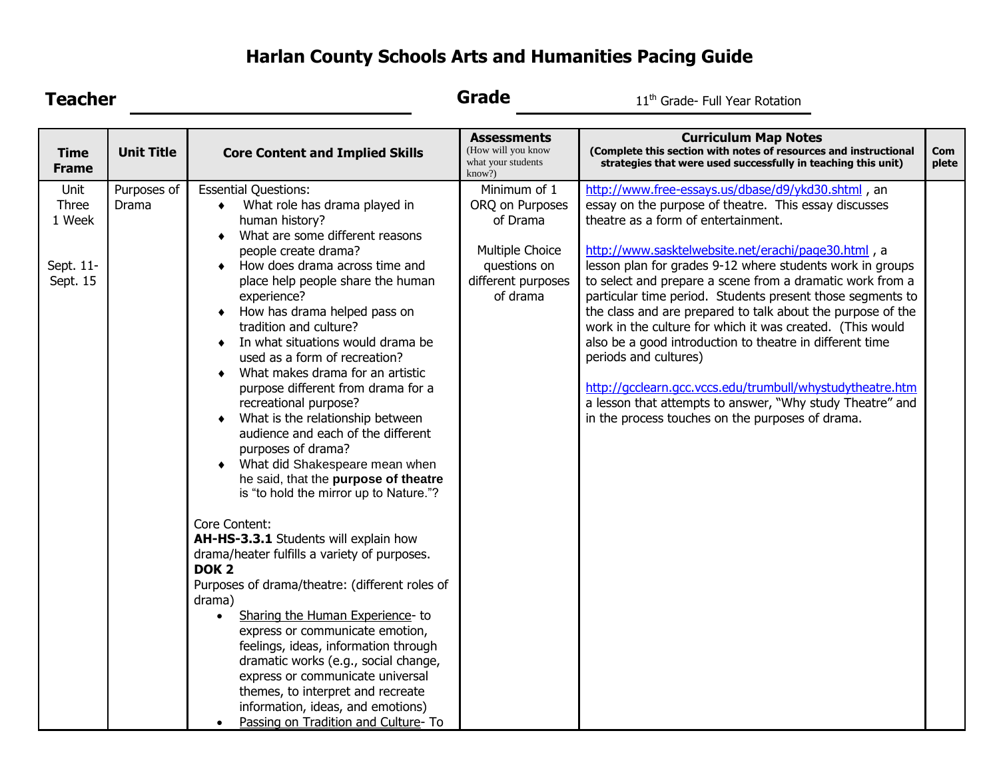## **Harlan County Schools Arts and Humanities Pacing Guide**

| <b>Teacher</b>                                   |                      |                                                                                                                                                                                                                                                                                                                                                                                                                                                                                                                                                                                                                                                                                                                                                                                                                                                                                                                                                                                                                                                                                                                                                                                                                                           | Grade<br>11 <sup>th</sup> Grade- Full Year Rotation                                                              |                                                                                                                                                                                                                                                                                                                                                                                                                                                                                                                                                                                                                                                                                                                                                                                                  |              |
|--------------------------------------------------|----------------------|-------------------------------------------------------------------------------------------------------------------------------------------------------------------------------------------------------------------------------------------------------------------------------------------------------------------------------------------------------------------------------------------------------------------------------------------------------------------------------------------------------------------------------------------------------------------------------------------------------------------------------------------------------------------------------------------------------------------------------------------------------------------------------------------------------------------------------------------------------------------------------------------------------------------------------------------------------------------------------------------------------------------------------------------------------------------------------------------------------------------------------------------------------------------------------------------------------------------------------------------|------------------------------------------------------------------------------------------------------------------|--------------------------------------------------------------------------------------------------------------------------------------------------------------------------------------------------------------------------------------------------------------------------------------------------------------------------------------------------------------------------------------------------------------------------------------------------------------------------------------------------------------------------------------------------------------------------------------------------------------------------------------------------------------------------------------------------------------------------------------------------------------------------------------------------|--------------|
| <b>Time</b><br><b>Frame</b>                      | <b>Unit Title</b>    | <b>Core Content and Implied Skills</b>                                                                                                                                                                                                                                                                                                                                                                                                                                                                                                                                                                                                                                                                                                                                                                                                                                                                                                                                                                                                                                                                                                                                                                                                    | <b>Assessments</b><br>(How will you know<br>what your students<br>know?)                                         | <b>Curriculum Map Notes</b><br>(Complete this section with notes of resources and instructional<br>strategies that were used successfully in teaching this unit)                                                                                                                                                                                                                                                                                                                                                                                                                                                                                                                                                                                                                                 | Com<br>plete |
| Unit<br>Three<br>1 Week<br>Sept. 11-<br>Sept. 15 | Purposes of<br>Drama | <b>Essential Questions:</b><br>What role has drama played in<br>$\bullet$<br>human history?<br>What are some different reasons<br>٠<br>people create drama?<br>How does drama across time and<br>place help people share the human<br>experience?<br>How has drama helped pass on<br>tradition and culture?<br>In what situations would drama be<br>used as a form of recreation?<br>What makes drama for an artistic<br>purpose different from drama for a<br>recreational purpose?<br>What is the relationship between<br>audience and each of the different<br>purposes of drama?<br>What did Shakespeare mean when<br>he said, that the purpose of theatre<br>is "to hold the mirror up to Nature."?<br>Core Content:<br>AH-HS-3.3.1 Students will explain how<br>drama/heater fulfills a variety of purposes.<br>DOK <sub>2</sub><br>Purposes of drama/theatre: (different roles of<br>drama)<br>Sharing the Human Experience- to<br>$\bullet$<br>express or communicate emotion,<br>feelings, ideas, information through<br>dramatic works (e.g., social change,<br>express or communicate universal<br>themes, to interpret and recreate<br>information, ideas, and emotions)<br>Passing on Tradition and Culture- To<br>$\bullet$ | Minimum of 1<br>ORQ on Purposes<br>of Drama<br>Multiple Choice<br>questions on<br>different purposes<br>of drama | http://www.free-essays.us/dbase/d9/ykd30.shtml, an<br>essay on the purpose of theatre. This essay discusses<br>theatre as a form of entertainment.<br>http://www.sasktelwebsite.net/erachi/page30.html, a<br>lesson plan for grades 9-12 where students work in groups<br>to select and prepare a scene from a dramatic work from a<br>particular time period. Students present those segments to<br>the class and are prepared to talk about the purpose of the<br>work in the culture for which it was created. (This would<br>also be a good introduction to theatre in different time<br>periods and cultures)<br>http://gcclearn.gcc.vccs.edu/trumbull/whystudytheatre.htm<br>a lesson that attempts to answer, "Why study Theatre" and<br>in the process touches on the purposes of drama. |              |